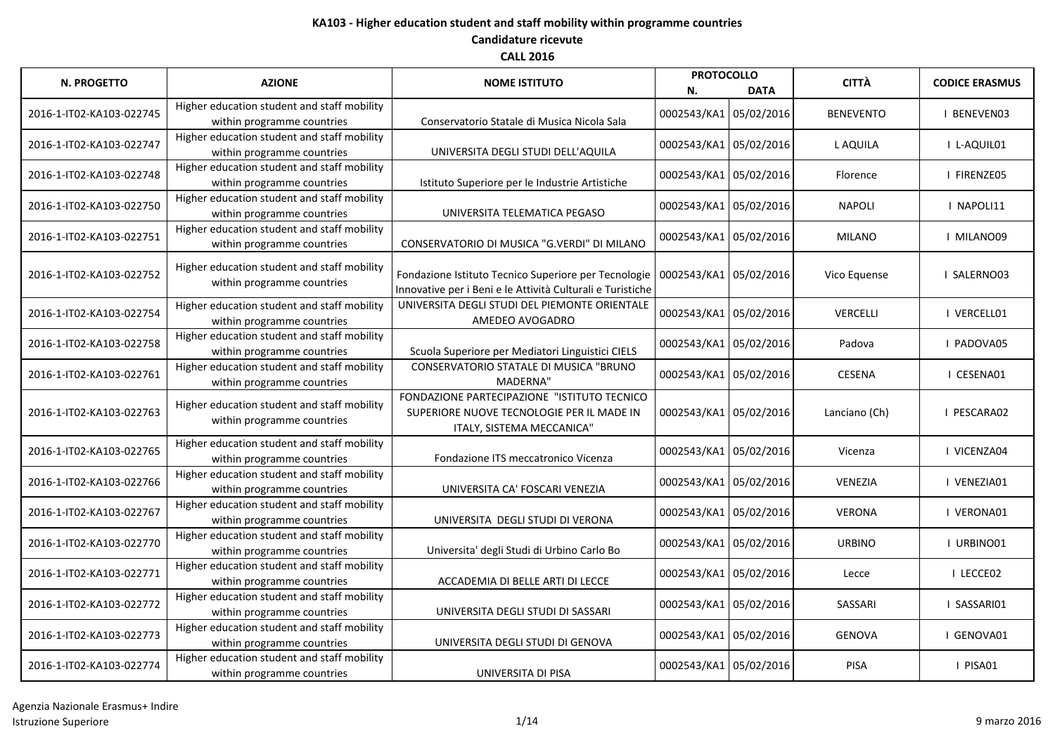| <b>N. PROGETTO</b>       | <b>AZIONE</b>                                                             | <b>NOME ISTITUTO</b>                                                                                                  | <b>PROTOCOLLO</b><br>N. | <b>DATA</b> | <b>CITTÀ</b>     | <b>CODICE ERASMUS</b> |
|--------------------------|---------------------------------------------------------------------------|-----------------------------------------------------------------------------------------------------------------------|-------------------------|-------------|------------------|-----------------------|
| 2016-1-IT02-KA103-022745 | Higher education student and staff mobility<br>within programme countries | Conservatorio Statale di Musica Nicola Sala                                                                           | 0002543/KA1             | 05/02/2016  | <b>BENEVENTO</b> | BENEVEN03             |
| 2016-1-IT02-KA103-022747 | Higher education student and staff mobility<br>within programme countries | UNIVERSITA DEGLI STUDI DELL'AQUILA                                                                                    | 0002543/KA1 05/02/2016  |             | L AQUILA         | I L-AQUIL01           |
| 2016-1-IT02-KA103-022748 | Higher education student and staff mobility<br>within programme countries | Istituto Superiore per le Industrie Artistiche                                                                        | 0002543/KA1 05/02/2016  |             | Florence         | I FIRENZE05           |
| 2016-1-IT02-KA103-022750 | Higher education student and staff mobility<br>within programme countries | UNIVERSITA TELEMATICA PEGASO                                                                                          | 0002543/KA1 05/02/2016  |             | <b>NAPOLI</b>    | I NAPOLI11            |
| 2016-1-IT02-KA103-022751 | Higher education student and staff mobility<br>within programme countries | CONSERVATORIO DI MUSICA "G.VERDI" DI MILANO                                                                           | 0002543/KA1 05/02/2016  |             | MILANO           | I MILANO09            |
| 2016-1-IT02-KA103-022752 | Higher education student and staff mobility<br>within programme countries | Fondazione Istituto Tecnico Superiore per Tecnologie<br>Innovative per i Beni e le Attività Culturali e Turistiche    | 0002543/KA1 05/02/2016  |             | Vico Equense     | SALERNO03             |
| 2016-1-IT02-KA103-022754 | Higher education student and staff mobility<br>within programme countries | UNIVERSITA DEGLI STUDI DEL PIEMONTE ORIENTALE<br>AMEDEO AVOGADRO                                                      | 0002543/KA1 05/02/2016  |             | <b>VERCELLI</b>  | I VERCELL01           |
| 2016-1-IT02-KA103-022758 | Higher education student and staff mobility<br>within programme countries | Scuola Superiore per Mediatori Linguistici CIELS                                                                      | 0002543/KA1 05/02/2016  |             | Padova           | PADOVA05              |
| 2016-1-IT02-KA103-022761 | Higher education student and staff mobility<br>within programme countries | CONSERVATORIO STATALE DI MUSICA "BRUNO<br>MADERNA"                                                                    | 0002543/KA1 05/02/2016  |             | <b>CESENA</b>    | I CESENA01            |
| 2016-1-IT02-KA103-022763 | Higher education student and staff mobility<br>within programme countries | FONDAZIONE PARTECIPAZIONE "ISTITUTO TECNICO<br>SUPERIORE NUOVE TECNOLOGIE PER IL MADE IN<br>ITALY, SISTEMA MECCANICA" | 0002543/KA1 05/02/2016  |             | Lanciano (Ch)    | PESCARA02             |
| 2016-1-IT02-KA103-022765 | Higher education student and staff mobility<br>within programme countries | Fondazione ITS meccatronico Vicenza                                                                                   | 0002543/KA1 05/02/2016  |             | Vicenza          | I VICENZA04           |
| 2016-1-IT02-KA103-022766 | Higher education student and staff mobility<br>within programme countries | UNIVERSITA CA' FOSCARI VENEZIA                                                                                        | 0002543/KA1 05/02/2016  |             | <b>VENEZIA</b>   | I VENEZIA01           |
| 2016-1-IT02-KA103-022767 | Higher education student and staff mobility<br>within programme countries | UNIVERSITA DEGLI STUDI DI VERONA                                                                                      | 0002543/KA1 05/02/2016  |             | <b>VERONA</b>    | I VERONA01            |
| 2016-1-IT02-KA103-022770 | Higher education student and staff mobility<br>within programme countries | Universita' degli Studi di Urbino Carlo Bo                                                                            | 0002543/KA1 05/02/2016  |             | <b>URBINO</b>    | I URBINO01            |
| 2016-1-IT02-KA103-022771 | Higher education student and staff mobility<br>within programme countries | ACCADEMIA DI BELLE ARTI DI LECCE                                                                                      | 0002543/KA1 05/02/2016  |             | Lecce            | I LECCE02             |
| 2016-1-IT02-KA103-022772 | Higher education student and staff mobility<br>within programme countries | UNIVERSITA DEGLI STUDI DI SASSARI                                                                                     | 0002543/KA1 05/02/2016  |             | SASSARI          | I SASSARI01           |
| 2016-1-IT02-KA103-022773 | Higher education student and staff mobility<br>within programme countries | UNIVERSITA DEGLI STUDI DI GENOVA                                                                                      | 0002543/KA1 05/02/2016  |             | <b>GENOVA</b>    | GENOVA01              |
| 2016-1-IT02-KA103-022774 | Higher education student and staff mobility<br>within programme countries | UNIVERSITA DI PISA                                                                                                    | 0002543/KA1 05/02/2016  |             | PISA             | I PISA01              |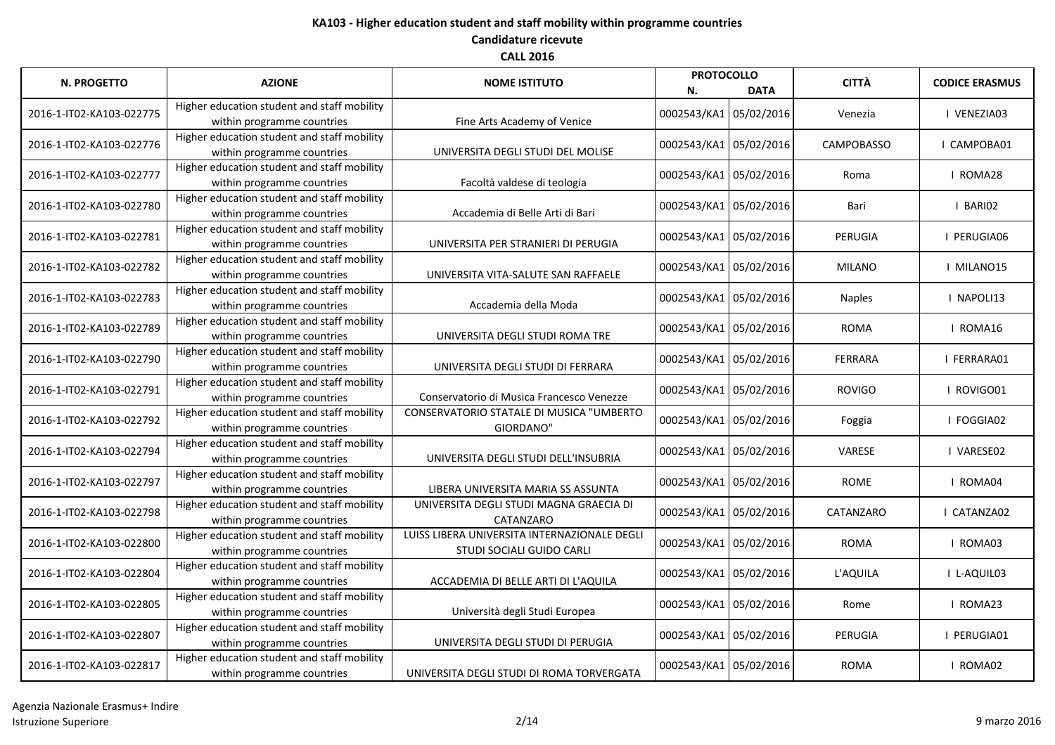| <b>N. PROGETTO</b>       | <b>AZIONE</b>                                                             | <b>NOME ISTITUTO</b>                                                      | <b>PROTOCOLLO</b><br>N. | <b>DATA</b> | <b>CITTÀ</b>      | <b>CODICE ERASMUS</b> |
|--------------------------|---------------------------------------------------------------------------|---------------------------------------------------------------------------|-------------------------|-------------|-------------------|-----------------------|
| 2016-1-IT02-KA103-022775 | Higher education student and staff mobility<br>within programme countries | Fine Arts Academy of Venice                                               | 0002543/KA1             | 05/02/2016  | Venezia           | I VENEZIA03           |
| 2016-1-IT02-KA103-022776 | Higher education student and staff mobility<br>within programme countries | UNIVERSITA DEGLI STUDI DEL MOLISE                                         | 0002543/KA1 05/02/2016  |             | <b>CAMPOBASSO</b> | CAMPOBA01             |
| 2016-1-IT02-KA103-022777 | Higher education student and staff mobility<br>within programme countries | Facoltà valdese di teologia                                               | 0002543/KA1 05/02/2016  |             | Roma              | I ROMA28              |
| 2016-1-IT02-KA103-022780 | Higher education student and staff mobility<br>within programme countries | Accademia di Belle Arti di Bari                                           | 0002543/KA1 05/02/2016  |             | Bari              | I BARIO2              |
| 2016-1-IT02-KA103-022781 | Higher education student and staff mobility<br>within programme countries | UNIVERSITA PER STRANIERI DI PERUGIA                                       | 0002543/KA1 05/02/2016  |             | PERUGIA           | I PERUGIA06           |
| 2016-1-IT02-KA103-022782 | Higher education student and staff mobility<br>within programme countries | UNIVERSITA VITA-SALUTE SAN RAFFAELE                                       | 0002543/KA1 05/02/2016  |             | <b>MILANO</b>     | I MILANO15            |
| 2016-1-IT02-KA103-022783 | Higher education student and staff mobility<br>within programme countries | Accademia della Moda                                                      | 0002543/KA1 05/02/2016  |             | <b>Naples</b>     | I NAPOLI13            |
| 2016-1-IT02-KA103-022789 | Higher education student and staff mobility<br>within programme countries | UNIVERSITA DEGLI STUDI ROMA TRE                                           | 0002543/KA1 05/02/2016  |             | <b>ROMA</b>       | I ROMA16              |
| 2016-1-IT02-KA103-022790 | Higher education student and staff mobility<br>within programme countries | UNIVERSITA DEGLI STUDI DI FERRARA                                         | 0002543/KA1 05/02/2016  |             | <b>FERRARA</b>    | I FERRARA01           |
| 2016-1-IT02-KA103-022791 | Higher education student and staff mobility<br>within programme countries | Conservatorio di Musica Francesco Venezze                                 | 0002543/KA1 05/02/2016  |             | <b>ROVIGO</b>     | I ROVIGO01            |
| 2016-1-IT02-KA103-022792 | Higher education student and staff mobility<br>within programme countries | CONSERVATORIO STATALE DI MUSICA "UMBERTO<br>GIORDANO"                     | 0002543/KA1 05/02/2016  |             | Foggia            | FOGGIA02              |
| 2016-1-IT02-KA103-022794 | Higher education student and staff mobility<br>within programme countries | UNIVERSITA DEGLI STUDI DELL'INSUBRIA                                      | 0002543/KA1 05/02/2016  |             | <b>VARESE</b>     | VARESE02              |
| 2016-1-IT02-KA103-022797 | Higher education student and staff mobility<br>within programme countries | LIBERA UNIVERSITA MARIA SS ASSUNTA                                        | 0002543/KA1 05/02/2016  |             | <b>ROME</b>       | I ROMA04              |
| 2016-1-IT02-KA103-022798 | Higher education student and staff mobility<br>within programme countries | UNIVERSITA DEGLI STUDI MAGNA GRAECIA DI<br>CATANZARO                      | 0002543/KA1 05/02/2016  |             | CATANZARO         | CATANZA02             |
| 2016-1-IT02-KA103-022800 | Higher education student and staff mobility<br>within programme countries | LUISS LIBERA UNIVERSITA INTERNAZIONALE DEGLI<br>STUDI SOCIALI GUIDO CARLI | 0002543/KA1 05/02/2016  |             | <b>ROMA</b>       | I ROMA03              |
| 2016-1-IT02-KA103-022804 | Higher education student and staff mobility<br>within programme countries | ACCADEMIA DI BELLE ARTI DI L'AQUILA                                       | 0002543/KA1 05/02/2016  |             | L'AQUILA          | I L-AQUIL03           |
| 2016-1-IT02-KA103-022805 | Higher education student and staff mobility<br>within programme countries | Università degli Studi Europea                                            | 0002543/KA1 05/02/2016  |             | Rome              | I ROMA23              |
| 2016-1-IT02-KA103-022807 | Higher education student and staff mobility<br>within programme countries | UNIVERSITA DEGLI STUDI DI PERUGIA                                         | 0002543/KA1 05/02/2016  |             | PERUGIA           | I PERUGIA01           |
| 2016-1-IT02-KA103-022817 | Higher education student and staff mobility<br>within programme countries | UNIVERSITA DEGLI STUDI DI ROMA TORVERGATA                                 | 0002543/KA1 05/02/2016  |             | <b>ROMA</b>       | I ROMA02              |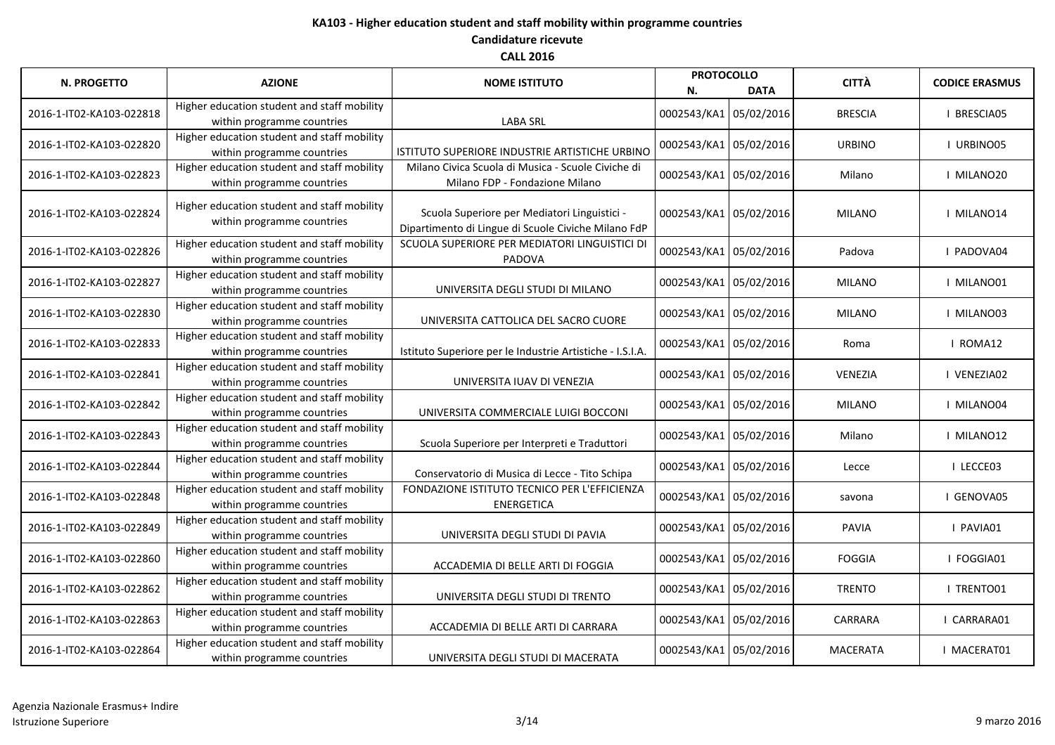| <b>N. PROGETTO</b>       | <b>AZIONE</b>                                                             | <b>NOME ISTITUTO</b>                                                                                | <b>PROTOCOLLO</b><br>N. | <b>DATA</b> | <b>CITTÀ</b>    | <b>CODICE ERASMUS</b> |
|--------------------------|---------------------------------------------------------------------------|-----------------------------------------------------------------------------------------------------|-------------------------|-------------|-----------------|-----------------------|
| 2016-1-IT02-KA103-022818 | Higher education student and staff mobility<br>within programme countries | <b>LABA SRL</b>                                                                                     | 0002543/KA1 05/02/2016  |             | <b>BRESCIA</b>  | <b>I BRESCIA05</b>    |
| 2016-1-IT02-KA103-022820 | Higher education student and staff mobility<br>within programme countries | ISTITUTO SUPERIORE INDUSTRIE ARTISTICHE URBINO                                                      | 0002543/KA1 05/02/2016  |             | <b>URBINO</b>   | I URBINO05            |
| 2016-1-IT02-KA103-022823 | Higher education student and staff mobility<br>within programme countries | Milano Civica Scuola di Musica - Scuole Civiche di<br>Milano FDP - Fondazione Milano                | 0002543/KA1 05/02/2016  |             | Milano          | I MILANO20            |
| 2016-1-IT02-KA103-022824 | Higher education student and staff mobility<br>within programme countries | Scuola Superiore per Mediatori Linguistici -<br>Dipartimento di Lingue di Scuole Civiche Milano FdP | 0002543/KA1 05/02/2016  |             | <b>MILANO</b>   | I MILANO14            |
| 2016-1-IT02-KA103-022826 | Higher education student and staff mobility<br>within programme countries | SCUOLA SUPERIORE PER MEDIATORI LINGUISTICI DI<br>PADOVA                                             | 0002543/KA1 05/02/2016  |             | Padova          | I PADOVA04            |
| 2016-1-IT02-KA103-022827 | Higher education student and staff mobility<br>within programme countries | UNIVERSITA DEGLI STUDI DI MILANO                                                                    | 0002543/KA1 05/02/2016  |             | <b>MILANO</b>   | I MILANO01            |
| 2016-1-IT02-KA103-022830 | Higher education student and staff mobility<br>within programme countries | UNIVERSITA CATTOLICA DEL SACRO CUORE                                                                | 0002543/KA1 05/02/2016  |             | <b>MILANO</b>   | I MILANO03            |
| 2016-1-IT02-KA103-022833 | Higher education student and staff mobility<br>within programme countries | Istituto Superiore per le Industrie Artistiche - I.S.I.A.                                           | 0002543/KA1 05/02/2016  |             | Roma            | I ROMA12              |
| 2016-1-IT02-KA103-022841 | Higher education student and staff mobility<br>within programme countries | UNIVERSITA IUAV DI VENEZIA                                                                          | 0002543/KA1 05/02/2016  |             | <b>VENEZIA</b>  | I VENEZIA02           |
| 2016-1-IT02-KA103-022842 | Higher education student and staff mobility<br>within programme countries | UNIVERSITA COMMERCIALE LUIGI BOCCONI                                                                | 0002543/KA1 05/02/2016  |             | <b>MILANO</b>   | I MILANO04            |
| 2016-1-IT02-KA103-022843 | Higher education student and staff mobility<br>within programme countries | Scuola Superiore per Interpreti e Traduttori                                                        | 0002543/KA1 05/02/2016  |             | Milano          | I MILANO12            |
| 2016-1-IT02-KA103-022844 | Higher education student and staff mobility<br>within programme countries | Conservatorio di Musica di Lecce - Tito Schipa                                                      | 0002543/KA1 05/02/2016  |             | Lecce           | I LECCE03             |
| 2016-1-IT02-KA103-022848 | Higher education student and staff mobility<br>within programme countries | FONDAZIONE ISTITUTO TECNICO PER L'EFFICIENZA<br><b>ENERGETICA</b>                                   | 0002543/KA1 05/02/2016  |             | savona          | I GENOVA05            |
| 2016-1-IT02-KA103-022849 | Higher education student and staff mobility<br>within programme countries | UNIVERSITA DEGLI STUDI DI PAVIA                                                                     | 0002543/KA1 05/02/2016  |             | <b>PAVIA</b>    | I PAVIA01             |
| 2016-1-IT02-KA103-022860 | Higher education student and staff mobility<br>within programme countries | ACCADEMIA DI BELLE ARTI DI FOGGIA                                                                   | 0002543/KA1 05/02/2016  |             | <b>FOGGIA</b>   | I FOGGIA01            |
| 2016-1-IT02-KA103-022862 | Higher education student and staff mobility<br>within programme countries | UNIVERSITA DEGLI STUDI DI TRENTO                                                                    | 0002543/KA1 05/02/2016  |             | <b>TRENTO</b>   | I TRENTO01            |
| 2016-1-IT02-KA103-022863 | Higher education student and staff mobility<br>within programme countries | ACCADEMIA DI BELLE ARTI DI CARRARA                                                                  | 0002543/KA1 05/02/2016  |             | <b>CARRARA</b>  | CARRARA01             |
| 2016-1-IT02-KA103-022864 | Higher education student and staff mobility<br>within programme countries | UNIVERSITA DEGLI STUDI DI MACERATA                                                                  | 0002543/KA1 05/02/2016  |             | <b>MACERATA</b> | I MACERAT01           |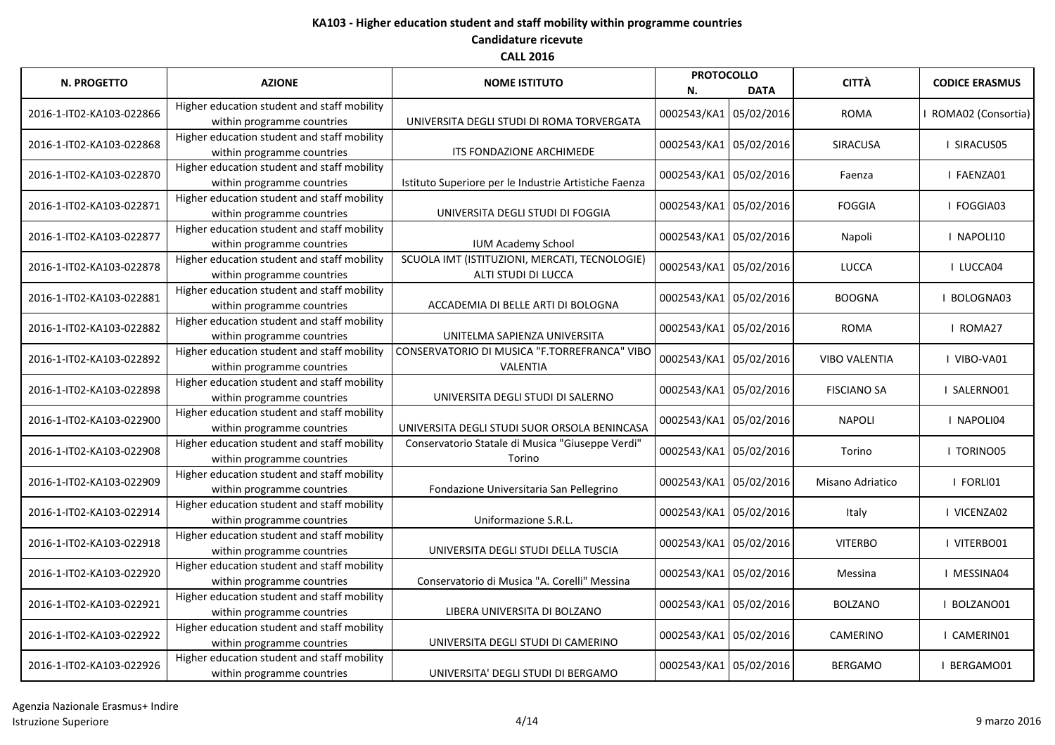| <b>N. PROGETTO</b>       | <b>AZIONE</b>                                                             | <b>NOME ISTITUTO</b>                                                 | <b>PROTOCOLLO</b><br>N. | <b>DATA</b> | <b>CITTÀ</b>         | <b>CODICE ERASMUS</b> |
|--------------------------|---------------------------------------------------------------------------|----------------------------------------------------------------------|-------------------------|-------------|----------------------|-----------------------|
| 2016-1-IT02-KA103-022866 | Higher education student and staff mobility<br>within programme countries | UNIVERSITA DEGLI STUDI DI ROMA TORVERGATA                            | 0002543/KA1 05/02/2016  |             | <b>ROMA</b>          | ROMA02 (Consortia)    |
| 2016-1-IT02-KA103-022868 | Higher education student and staff mobility<br>within programme countries | ITS FONDAZIONE ARCHIMEDE                                             | 0002543/KA1 05/02/2016  |             | SIRACUSA             | I SIRACUS05           |
| 2016-1-IT02-KA103-022870 | Higher education student and staff mobility<br>within programme countries | Istituto Superiore per le Industrie Artistiche Faenza                | 0002543/KA1 05/02/2016  |             | Faenza               | I FAENZA01            |
| 2016-1-IT02-KA103-022871 | Higher education student and staff mobility<br>within programme countries | UNIVERSITA DEGLI STUDI DI FOGGIA                                     | 0002543/KA1 05/02/2016  |             | <b>FOGGIA</b>        | I FOGGIA03            |
| 2016-1-IT02-KA103-022877 | Higher education student and staff mobility<br>within programme countries | <b>IUM Academy School</b>                                            | 0002543/KA1 05/02/2016  |             | Napoli               | I NAPOLI10            |
| 2016-1-IT02-KA103-022878 | Higher education student and staff mobility<br>within programme countries | SCUOLA IMT (ISTITUZIONI, MERCATI, TECNOLOGIE)<br>ALTI STUDI DI LUCCA | 0002543/KA1 05/02/2016  |             | <b>LUCCA</b>         | I LUCCA04             |
| 2016-1-IT02-KA103-022881 | Higher education student and staff mobility<br>within programme countries | ACCADEMIA DI BELLE ARTI DI BOLOGNA                                   | 0002543/KA1 05/02/2016  |             | <b>BOOGNA</b>        | BOLOGNA03             |
| 2016-1-IT02-KA103-022882 | Higher education student and staff mobility<br>within programme countries | UNITELMA SAPIENZA UNIVERSITA                                         | 0002543/KA1 05/02/2016  |             | <b>ROMA</b>          | I ROMA27              |
| 2016-1-IT02-KA103-022892 | Higher education student and staff mobility<br>within programme countries | CONSERVATORIO DI MUSICA "F.TORREFRANCA" VIBO<br>VALENTIA             | 0002543/KA1 05/02/2016  |             | <b>VIBO VALENTIA</b> | I VIBO-VA01           |
| 2016-1-IT02-KA103-022898 | Higher education student and staff mobility<br>within programme countries | UNIVERSITA DEGLI STUDI DI SALERNO                                    | 0002543/KA1 05/02/2016  |             | <b>FISCIANO SA</b>   | I SALERNO01           |
| 2016-1-IT02-KA103-022900 | Higher education student and staff mobility<br>within programme countries | UNIVERSITA DEGLI STUDI SUOR ORSOLA BENINCASA                         | 0002543/KA1 05/02/2016  |             | <b>NAPOLI</b>        | I NAPOLI04            |
| 2016-1-IT02-KA103-022908 | Higher education student and staff mobility<br>within programme countries | Conservatorio Statale di Musica "Giuseppe Verdi"<br>Torino           | 0002543/KA1 05/02/2016  |             | Torino               | I TORINO05            |
| 2016-1-IT02-KA103-022909 | Higher education student and staff mobility<br>within programme countries | Fondazione Universitaria San Pellegrino                              | 0002543/KA1 05/02/2016  |             | Misano Adriatico     | I FORLI01             |
| 2016-1-IT02-KA103-022914 | Higher education student and staff mobility<br>within programme countries | Uniformazione S.R.L.                                                 | 0002543/KA1 05/02/2016  |             | Italy                | VICENZA02             |
| 2016-1-IT02-KA103-022918 | Higher education student and staff mobility<br>within programme countries | UNIVERSITA DEGLI STUDI DELLA TUSCIA                                  | 0002543/KA1 05/02/2016  |             | <b>VITERBO</b>       | I VITERBO01           |
| 2016-1-IT02-KA103-022920 | Higher education student and staff mobility<br>within programme countries | Conservatorio di Musica "A. Corelli" Messina                         | 0002543/KA1 05/02/2016  |             | Messina              | I MESSINA04           |
| 2016-1-IT02-KA103-022921 | Higher education student and staff mobility<br>within programme countries | LIBERA UNIVERSITA DI BOLZANO                                         | 0002543/KA1 05/02/2016  |             | <b>BOLZANO</b>       | BOLZANO01             |
| 2016-1-IT02-KA103-022922 | Higher education student and staff mobility<br>within programme countries | UNIVERSITA DEGLI STUDI DI CAMERINO                                   | 0002543/KA1 05/02/2016  |             | <b>CAMERINO</b>      | I CAMERIN01           |
| 2016-1-IT02-KA103-022926 | Higher education student and staff mobility<br>within programme countries | UNIVERSITA' DEGLI STUDI DI BERGAMO                                   | 0002543/KA1 05/02/2016  |             | <b>BERGAMO</b>       | BERGAMO01             |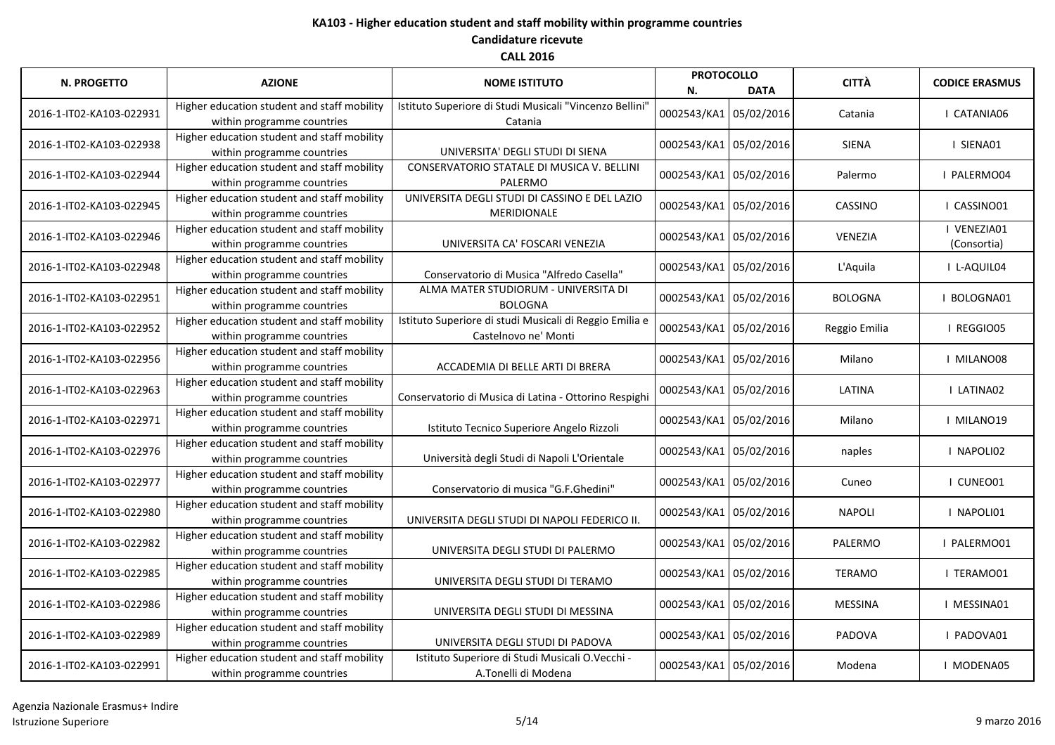| <b>N. PROGETTO</b>       | <b>AZIONE</b>                                                             | <b>NOME ISTITUTO</b>                                                            | <b>PROTOCOLLO</b><br>N. | <b>DATA</b> | <b>CITTÀ</b>   | <b>CODICE ERASMUS</b>      |
|--------------------------|---------------------------------------------------------------------------|---------------------------------------------------------------------------------|-------------------------|-------------|----------------|----------------------------|
| 2016-1-IT02-KA103-022931 | Higher education student and staff mobility<br>within programme countries | Istituto Superiore di Studi Musicali "Vincenzo Bellini"<br>Catania              | 0002543/KA1             | 05/02/2016  | Catania        | I CATANIA06                |
| 2016-1-IT02-KA103-022938 | Higher education student and staff mobility<br>within programme countries | UNIVERSITA' DEGLI STUDI DI SIENA                                                | 0002543/KA1 05/02/2016  |             | <b>SIENA</b>   | I SIENA01                  |
| 2016-1-IT02-KA103-022944 | Higher education student and staff mobility<br>within programme countries | CONSERVATORIO STATALE DI MUSICA V. BELLINI<br>PALERMO                           | 0002543/KA1 05/02/2016  |             | Palermo        | PALERMO04                  |
| 2016-1-IT02-KA103-022945 | Higher education student and staff mobility<br>within programme countries | UNIVERSITA DEGLI STUDI DI CASSINO E DEL LAZIO<br>MERIDIONALE                    | 0002543/KA1 05/02/2016  |             | CASSINO        | I CASSINO01                |
| 2016-1-IT02-KA103-022946 | Higher education student and staff mobility<br>within programme countries | UNIVERSITA CA' FOSCARI VENEZIA                                                  | 0002543/KA1 05/02/2016  |             | VENEZIA        | I VENEZIA01<br>(Consortia) |
| 2016-1-IT02-KA103-022948 | Higher education student and staff mobility<br>within programme countries | Conservatorio di Musica "Alfredo Casella"                                       | 0002543/KA1 05/02/2016  |             | L'Aquila       | I L-AQUIL04                |
| 2016-1-IT02-KA103-022951 | Higher education student and staff mobility<br>within programme countries | ALMA MATER STUDIORUM - UNIVERSITA DI<br><b>BOLOGNA</b>                          | 0002543/KA1 05/02/2016  |             | <b>BOLOGNA</b> | BOLOGNA01                  |
| 2016-1-IT02-KA103-022952 | Higher education student and staff mobility<br>within programme countries | Istituto Superiore di studi Musicali di Reggio Emilia e<br>Castelnovo ne' Monti | 0002543/KA1 05/02/2016  |             | Reggio Emilia  | I REGGIO05                 |
| 2016-1-IT02-KA103-022956 | Higher education student and staff mobility<br>within programme countries | ACCADEMIA DI BELLE ARTI DI BRERA                                                | 0002543/KA1 05/02/2016  |             | Milano         | I MILANO08                 |
| 2016-1-IT02-KA103-022963 | Higher education student and staff mobility<br>within programme countries | Conservatorio di Musica di Latina - Ottorino Respighi                           | 0002543/KA1 05/02/2016  |             | LATINA         | I LATINA02                 |
| 2016-1-IT02-KA103-022971 | Higher education student and staff mobility<br>within programme countries | Istituto Tecnico Superiore Angelo Rizzoli                                       | 0002543/KA1 05/02/2016  |             | Milano         | I MILANO19                 |
| 2016-1-IT02-KA103-022976 | Higher education student and staff mobility<br>within programme countries | Università degli Studi di Napoli L'Orientale                                    | 0002543/KA1 05/02/2016  |             | naples         | I NAPOLI02                 |
| 2016-1-IT02-KA103-022977 | Higher education student and staff mobility<br>within programme countries | Conservatorio di musica "G.F.Ghedini"                                           | 0002543/KA1 05/02/2016  |             | Cuneo          | I CUNEO01                  |
| 2016-1-IT02-KA103-022980 | Higher education student and staff mobility<br>within programme countries | UNIVERSITA DEGLI STUDI DI NAPOLI FEDERICO II.                                   | 0002543/KA1 05/02/2016  |             | <b>NAPOLI</b>  | I NAPOLI01                 |
| 2016-1-IT02-KA103-022982 | Higher education student and staff mobility<br>within programme countries | UNIVERSITA DEGLI STUDI DI PALERMO                                               | 0002543/KA1 05/02/2016  |             | PALERMO        | I PALERMO01                |
| 2016-1-IT02-KA103-022985 | Higher education student and staff mobility<br>within programme countries | UNIVERSITA DEGLI STUDI DI TERAMO                                                | 0002543/KA1 05/02/2016  |             | <b>TERAMO</b>  | I TERAMO01                 |
| 2016-1-IT02-KA103-022986 | Higher education student and staff mobility<br>within programme countries | UNIVERSITA DEGLI STUDI DI MESSINA                                               | 0002543/KA1 05/02/2016  |             | <b>MESSINA</b> | I MESSINA01                |
| 2016-1-IT02-KA103-022989 | Higher education student and staff mobility<br>within programme countries | UNIVERSITA DEGLI STUDI DI PADOVA                                                | 0002543/KA1 05/02/2016  |             | PADOVA         | I PADOVA01                 |
| 2016-1-IT02-KA103-022991 | Higher education student and staff mobility<br>within programme countries | Istituto Superiore di Studi Musicali O.Vecchi -<br>A.Tonelli di Modena          | 0002543/KA1 05/02/2016  |             | Modena         | I MODENA05                 |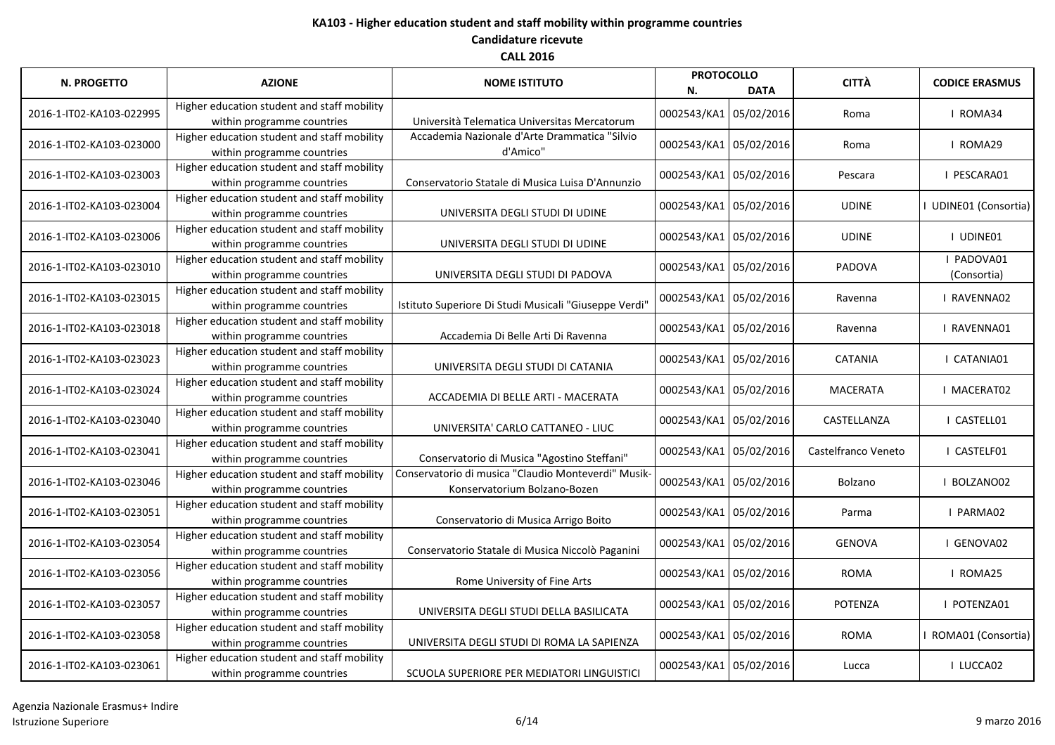| <b>N. PROGETTO</b>       | <b>AZIONE</b>                                                             | <b>NOME ISTITUTO</b>                                                                | <b>PROTOCOLLO</b><br>N. | <b>DATA</b> | <b>CITTÀ</b>        | <b>CODICE ERASMUS</b>      |
|--------------------------|---------------------------------------------------------------------------|-------------------------------------------------------------------------------------|-------------------------|-------------|---------------------|----------------------------|
| 2016-1-IT02-KA103-022995 | Higher education student and staff mobility<br>within programme countries | Università Telematica Universitas Mercatorum                                        | 0002543/KA1             | 05/02/2016  | Roma                | I ROMA34                   |
| 2016-1-IT02-KA103-023000 | Higher education student and staff mobility<br>within programme countries | Accademia Nazionale d'Arte Drammatica "Silvio<br>d'Amico"                           | 0002543/KA1 05/02/2016  |             | Roma                | I ROMA29                   |
| 2016-1-IT02-KA103-023003 | Higher education student and staff mobility<br>within programme countries | Conservatorio Statale di Musica Luisa D'Annunzio                                    | 0002543/KA1 05/02/2016  |             | Pescara             | I PESCARA01                |
| 2016-1-IT02-KA103-023004 | Higher education student and staff mobility<br>within programme countries | UNIVERSITA DEGLI STUDI DI UDINE                                                     | 0002543/KA1 05/02/2016  |             | <b>UDINE</b>        | <b>UDINE01 (Consortia)</b> |
| 2016-1-IT02-KA103-023006 | Higher education student and staff mobility<br>within programme countries | UNIVERSITA DEGLI STUDI DI UDINE                                                     | 0002543/KA1 05/02/2016  |             | <b>UDINE</b>        | I UDINE01                  |
| 2016-1-IT02-KA103-023010 | Higher education student and staff mobility<br>within programme countries | UNIVERSITA DEGLI STUDI DI PADOVA                                                    | 0002543/KA1 05/02/2016  |             | PADOVA              | PADOVA01<br>(Consortia)    |
| 2016-1-IT02-KA103-023015 | Higher education student and staff mobility<br>within programme countries | Istituto Superiore Di Studi Musicali "Giuseppe Verdi'                               | 0002543/KA1 05/02/2016  |             | Ravenna             | RAVENNA02                  |
| 2016-1-IT02-KA103-023018 | Higher education student and staff mobility<br>within programme countries | Accademia Di Belle Arti Di Ravenna                                                  | 0002543/KA1 05/02/2016  |             | Ravenna             | RAVENNA01                  |
| 2016-1-IT02-KA103-023023 | Higher education student and staff mobility<br>within programme countries | UNIVERSITA DEGLI STUDI DI CATANIA                                                   | 0002543/KA1 05/02/2016  |             | <b>CATANIA</b>      | I CATANIA01                |
| 2016-1-IT02-KA103-023024 | Higher education student and staff mobility<br>within programme countries | ACCADEMIA DI BELLE ARTI - MACERATA                                                  | 0002543/KA1 05/02/2016  |             | <b>MACERATA</b>     | I MACERAT02                |
| 2016-1-IT02-KA103-023040 | Higher education student and staff mobility<br>within programme countries | UNIVERSITA' CARLO CATTANEO - LIUC                                                   | 0002543/KA1 05/02/2016  |             | CASTELLANZA         | CASTELL01                  |
| 2016-1-IT02-KA103-023041 | Higher education student and staff mobility<br>within programme countries | Conservatorio di Musica "Agostino Steffani"                                         | 0002543/KA1 05/02/2016  |             | Castelfranco Veneto | I CASTELF01                |
| 2016-1-IT02-KA103-023046 | Higher education student and staff mobility<br>within programme countries | Conservatorio di musica "Claudio Monteverdi" Musik-<br>Konservatorium Bolzano-Bozen | 0002543/KA1 05/02/2016  |             | Bolzano             | BOLZANO02                  |
| 2016-1-IT02-KA103-023051 | Higher education student and staff mobility<br>within programme countries | Conservatorio di Musica Arrigo Boito                                                | 0002543/KA1 05/02/2016  |             | Parma               | I PARMA02                  |
| 2016-1-IT02-KA103-023054 | Higher education student and staff mobility<br>within programme countries | Conservatorio Statale di Musica Niccolò Paganini                                    | 0002543/KA1 05/02/2016  |             | <b>GENOVA</b>       | I GENOVA02                 |
| 2016-1-IT02-KA103-023056 | Higher education student and staff mobility<br>within programme countries | Rome University of Fine Arts                                                        | 0002543/KA1 05/02/2016  |             | <b>ROMA</b>         | I ROMA25                   |
| 2016-1-IT02-KA103-023057 | Higher education student and staff mobility<br>within programme countries | UNIVERSITA DEGLI STUDI DELLA BASILICATA                                             | 0002543/KA1 05/02/2016  |             | <b>POTENZA</b>      | POTENZA01                  |
| 2016-1-IT02-KA103-023058 | Higher education student and staff mobility<br>within programme countries | UNIVERSITA DEGLI STUDI DI ROMA LA SAPIENZA                                          | 0002543/KA1 05/02/2016  |             | <b>ROMA</b>         | ROMA01 (Consortia)         |
| 2016-1-IT02-KA103-023061 | Higher education student and staff mobility<br>within programme countries | SCUOLA SUPERIORE PER MEDIATORI LINGUISTICI                                          | 0002543/KA1 05/02/2016  |             | Lucca               | I LUCCA02                  |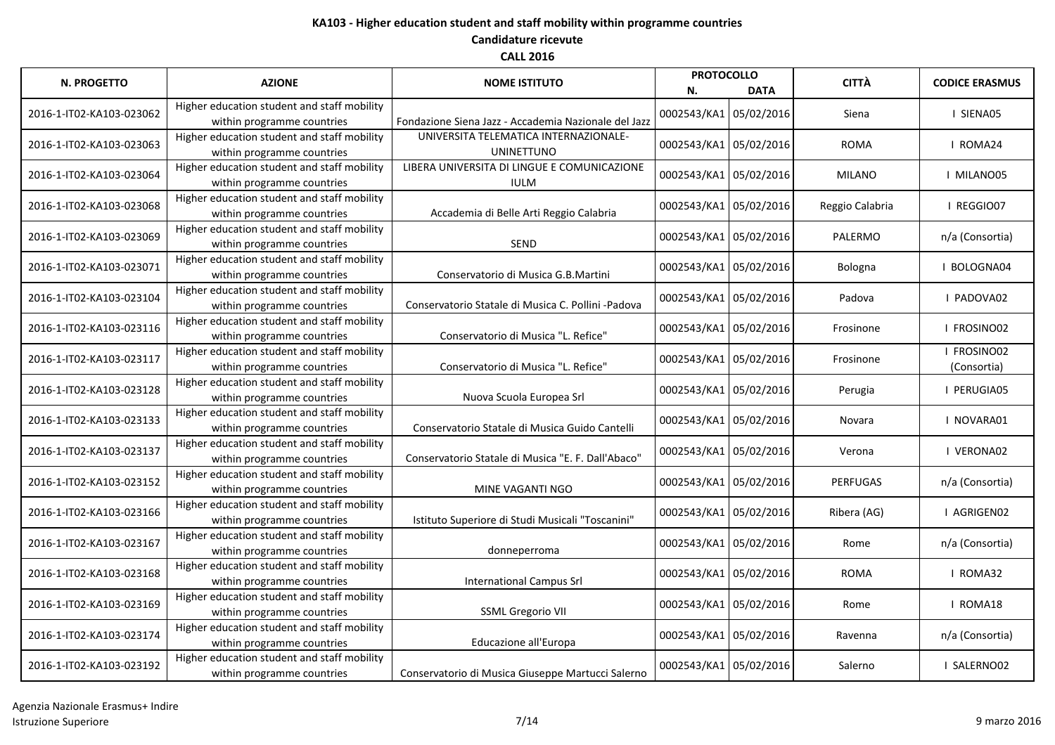| <b>N. PROGETTO</b>       | <b>AZIONE</b>                               |                                                      | <b>PROTOCOLLO</b>      |                        | <b>CITTÀ</b>    | <b>CODICE ERASMUS</b> |
|--------------------------|---------------------------------------------|------------------------------------------------------|------------------------|------------------------|-----------------|-----------------------|
|                          |                                             | <b>NOME ISTITUTO</b>                                 | N.                     | <b>DATA</b>            |                 |                       |
| 2016-1-IT02-KA103-023062 | Higher education student and staff mobility |                                                      | 0002543/KA1 05/02/2016 |                        | Siena           | I SIENA05             |
|                          | within programme countries                  | Fondazione Siena Jazz - Accademia Nazionale del Jazz |                        |                        |                 |                       |
| 2016-1-IT02-KA103-023063 | Higher education student and staff mobility | UNIVERSITA TELEMATICA INTERNAZIONALE-                | 0002543/KA1 05/02/2016 |                        | <b>ROMA</b>     | I ROMA24              |
|                          | within programme countries                  | <b>UNINETTUNO</b>                                    |                        |                        |                 |                       |
| 2016-1-IT02-KA103-023064 | Higher education student and staff mobility | LIBERA UNIVERSITA DI LINGUE E COMUNICAZIONE          | 0002543/KA1 05/02/2016 |                        | <b>MILANO</b>   | I MILANO05            |
|                          | within programme countries                  | <b>IULM</b>                                          |                        |                        |                 |                       |
| 2016-1-IT02-KA103-023068 | Higher education student and staff mobility |                                                      | 0002543/KA1 05/02/2016 |                        | Reggio Calabria | I REGGIO07            |
|                          | within programme countries                  | Accademia di Belle Arti Reggio Calabria              |                        |                        |                 |                       |
| 2016-1-IT02-KA103-023069 | Higher education student and staff mobility |                                                      | 0002543/KA1 05/02/2016 |                        | PALERMO         | n/a (Consortia)       |
|                          | within programme countries                  | <b>SEND</b>                                          |                        |                        |                 |                       |
| 2016-1-IT02-KA103-023071 | Higher education student and staff mobility |                                                      | 0002543/KA1 05/02/2016 |                        | Bologna         | BOLOGNA04             |
|                          | within programme countries                  | Conservatorio di Musica G.B.Martini                  |                        |                        |                 |                       |
| 2016-1-IT02-KA103-023104 | Higher education student and staff mobility |                                                      | 0002543/KA1 05/02/2016 |                        | Padova          | PADOVA02              |
|                          | within programme countries                  | Conservatorio Statale di Musica C. Pollini -Padova   |                        |                        |                 |                       |
| 2016-1-IT02-KA103-023116 | Higher education student and staff mobility |                                                      |                        | 0002543/KA1 05/02/2016 | Frosinone       | FROSINO02             |
|                          | within programme countries                  | Conservatorio di Musica "L. Refice"                  |                        |                        |                 |                       |
| 2016-1-IT02-KA103-023117 | Higher education student and staff mobility |                                                      | 0002543/KA1 05/02/2016 |                        |                 | FROSINO02             |
|                          | within programme countries                  | Conservatorio di Musica "L. Refice"                  |                        |                        | Frosinone       | (Consortia)           |
|                          | Higher education student and staff mobility |                                                      |                        |                        |                 |                       |
| 2016-1-IT02-KA103-023128 | within programme countries                  | Nuova Scuola Europea Srl                             | 0002543/KA1 05/02/2016 |                        | Perugia         | PERUGIA05             |
|                          | Higher education student and staff mobility |                                                      |                        |                        |                 |                       |
| 2016-1-IT02-KA103-023133 | within programme countries                  | Conservatorio Statale di Musica Guido Cantelli       |                        | 0002543/KA1 05/02/2016 | Novara          | I NOVARA01            |
| 2016-1-IT02-KA103-023137 | Higher education student and staff mobility |                                                      |                        | 0002543/KA1 05/02/2016 |                 |                       |
|                          | within programme countries                  | Conservatorio Statale di Musica "E. F. Dall'Abaco"   |                        |                        | Verona          | I VERONA02            |
| 2016-1-IT02-KA103-023152 | Higher education student and staff mobility |                                                      |                        |                        |                 |                       |
|                          | within programme countries                  | MINE VAGANTI NGO                                     | 0002543/KA1 05/02/2016 |                        | <b>PERFUGAS</b> | n/a (Consortia)       |
|                          | Higher education student and staff mobility |                                                      | 0002543/KA1 05/02/2016 |                        |                 |                       |
| 2016-1-IT02-KA103-023166 | within programme countries                  | Istituto Superiore di Studi Musicali "Toscanini"     |                        |                        | Ribera (AG)     | I AGRIGEN02           |
|                          | Higher education student and staff mobility |                                                      |                        |                        |                 |                       |
| 2016-1-IT02-KA103-023167 | within programme countries                  | donneperroma                                         | 0002543/KA1 05/02/2016 |                        | Rome            | n/a (Consortia)       |
|                          | Higher education student and staff mobility |                                                      |                        |                        |                 |                       |
| 2016-1-IT02-KA103-023168 | within programme countries                  | <b>International Campus Srl</b>                      | 0002543/KA1 05/02/2016 |                        | <b>ROMA</b>     | I ROMA32              |
|                          | Higher education student and staff mobility |                                                      |                        |                        |                 | I ROMA18              |
| 2016-1-IT02-KA103-023169 | within programme countries                  | <b>SSML Gregorio VII</b>                             |                        | 0002543/KA1 05/02/2016 | Rome            |                       |
|                          | Higher education student and staff mobility |                                                      |                        |                        |                 | n/a (Consortia)       |
| 2016-1-IT02-KA103-023174 | within programme countries                  | Educazione all'Europa                                |                        | 0002543/KA1 05/02/2016 | Ravenna         |                       |
|                          | Higher education student and staff mobility |                                                      |                        |                        |                 |                       |
| 2016-1-IT02-KA103-023192 | within programme countries                  | Conservatorio di Musica Giuseppe Martucci Salerno    | 0002543/KA1 05/02/2016 |                        | Salerno         | I SALERNO02           |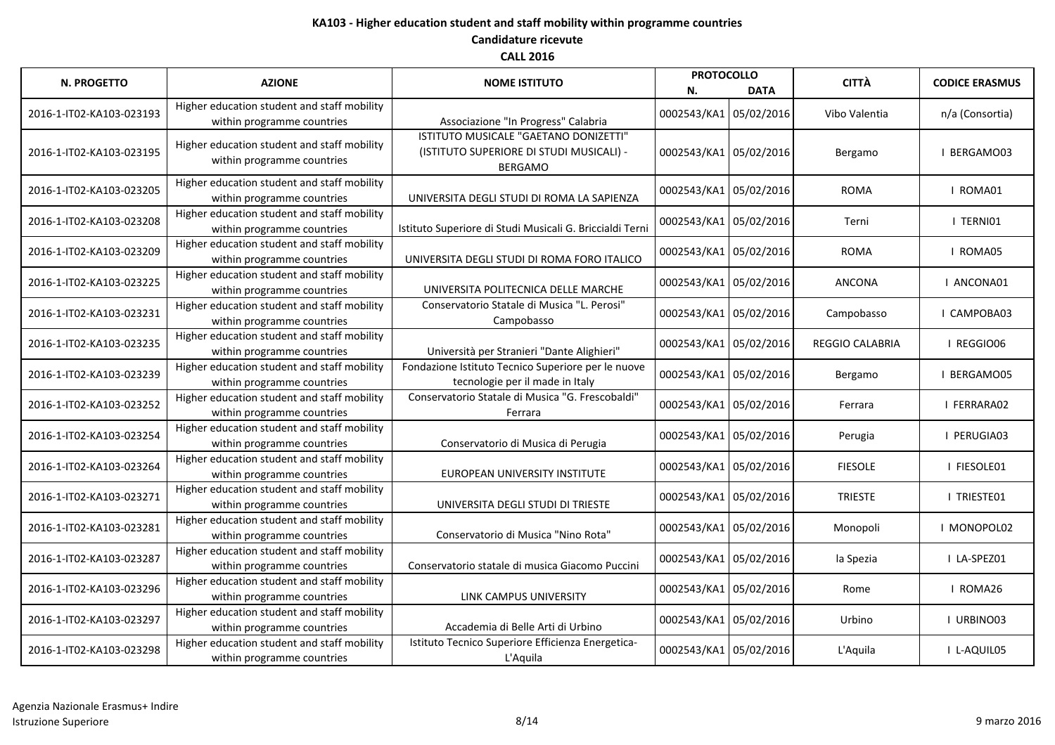| <b>N. PROGETTO</b>       | <b>AZIONE</b>                                                             | <b>NOME ISTITUTO</b>                                                                                | <b>PROTOCOLLO</b><br>N. | <b>DATA</b> | <b>CITTÀ</b>    | <b>CODICE ERASMUS</b> |
|--------------------------|---------------------------------------------------------------------------|-----------------------------------------------------------------------------------------------------|-------------------------|-------------|-----------------|-----------------------|
| 2016-1-IT02-KA103-023193 | Higher education student and staff mobility<br>within programme countries | Associazione "In Progress" Calabria                                                                 | 0002543/KA1 05/02/2016  |             | Vibo Valentia   | n/a (Consortia)       |
| 2016-1-IT02-KA103-023195 | Higher education student and staff mobility<br>within programme countries | ISTITUTO MUSICALE "GAETANO DONIZETTI"<br>(ISTITUTO SUPERIORE DI STUDI MUSICALI) -<br><b>BERGAMO</b> | 0002543/KA1 05/02/2016  |             | Bergamo         | BERGAMO03             |
| 2016-1-IT02-KA103-023205 | Higher education student and staff mobility<br>within programme countries | UNIVERSITA DEGLI STUDI DI ROMA LA SAPIENZA                                                          | 0002543/KA1 05/02/2016  |             | <b>ROMA</b>     | I ROMA01              |
| 2016-1-IT02-KA103-023208 | Higher education student and staff mobility<br>within programme countries | Istituto Superiore di Studi Musicali G. Briccialdi Terni                                            | 0002543/KA1 05/02/2016  |             | Terni           | I TERNIO1             |
| 2016-1-IT02-KA103-023209 | Higher education student and staff mobility<br>within programme countries | UNIVERSITA DEGLI STUDI DI ROMA FORO ITALICO                                                         | 0002543/KA1 05/02/2016  |             | <b>ROMA</b>     | I ROMA05              |
| 2016-1-IT02-KA103-023225 | Higher education student and staff mobility<br>within programme countries | UNIVERSITA POLITECNICA DELLE MARCHE                                                                 | 0002543/KA1 05/02/2016  |             | <b>ANCONA</b>   | I ANCONA01            |
| 2016-1-IT02-KA103-023231 | Higher education student and staff mobility<br>within programme countries | Conservatorio Statale di Musica "L. Perosi"<br>Campobasso                                           | 0002543/KA1 05/02/2016  |             | Campobasso      | CAMPOBA03             |
| 2016-1-IT02-KA103-023235 | Higher education student and staff mobility<br>within programme countries | Università per Stranieri "Dante Alighieri"                                                          | 0002543/KA1 05/02/2016  |             | REGGIO CALABRIA | I REGGIO06            |
| 2016-1-IT02-KA103-023239 | Higher education student and staff mobility<br>within programme countries | Fondazione Istituto Tecnico Superiore per le nuove<br>tecnologie per il made in Italy               | 0002543/KA1 05/02/2016  |             | Bergamo         | BERGAMO05             |
| 2016-1-IT02-KA103-023252 | Higher education student and staff mobility<br>within programme countries | Conservatorio Statale di Musica "G. Frescobaldi"<br>Ferrara                                         | 0002543/KA1 05/02/2016  |             | Ferrara         | I FERRARA02           |
| 2016-1-IT02-KA103-023254 | Higher education student and staff mobility<br>within programme countries | Conservatorio di Musica di Perugia                                                                  | 0002543/KA1 05/02/2016  |             | Perugia         | I PERUGIA03           |
| 2016-1-IT02-KA103-023264 | Higher education student and staff mobility<br>within programme countries | EUROPEAN UNIVERSITY INSTITUTE                                                                       | 0002543/KA1 05/02/2016  |             | <b>FIESOLE</b>  | I FIESOLE01           |
| 2016-1-IT02-KA103-023271 | Higher education student and staff mobility<br>within programme countries | UNIVERSITA DEGLI STUDI DI TRIESTE                                                                   | 0002543/KA1 05/02/2016  |             | <b>TRIESTE</b>  | I TRIESTE01           |
| 2016-1-IT02-KA103-023281 | Higher education student and staff mobility<br>within programme countries | Conservatorio di Musica "Nino Rota"                                                                 | 0002543/KA1 05/02/2016  |             | Monopoli        | MONOPOL02             |
| 2016-1-IT02-KA103-023287 | Higher education student and staff mobility<br>within programme countries | Conservatorio statale di musica Giacomo Puccini                                                     | 0002543/KA1 05/02/2016  |             | la Spezia       | I LA-SPEZ01           |
| 2016-1-IT02-KA103-023296 | Higher education student and staff mobility<br>within programme countries | LINK CAMPUS UNIVERSITY                                                                              | 0002543/KA1 05/02/2016  |             | Rome            | I ROMA26              |
| 2016-1-IT02-KA103-023297 | Higher education student and staff mobility<br>within programme countries | Accademia di Belle Arti di Urbino                                                                   | 0002543/KA1 05/02/2016  |             | Urbino          | URBINO03              |
| 2016-1-IT02-KA103-023298 | Higher education student and staff mobility<br>within programme countries | Istituto Tecnico Superiore Efficienza Energetica-<br>L'Aquila                                       | 0002543/KA1 05/02/2016  |             | L'Aquila        | I L-AQUIL05           |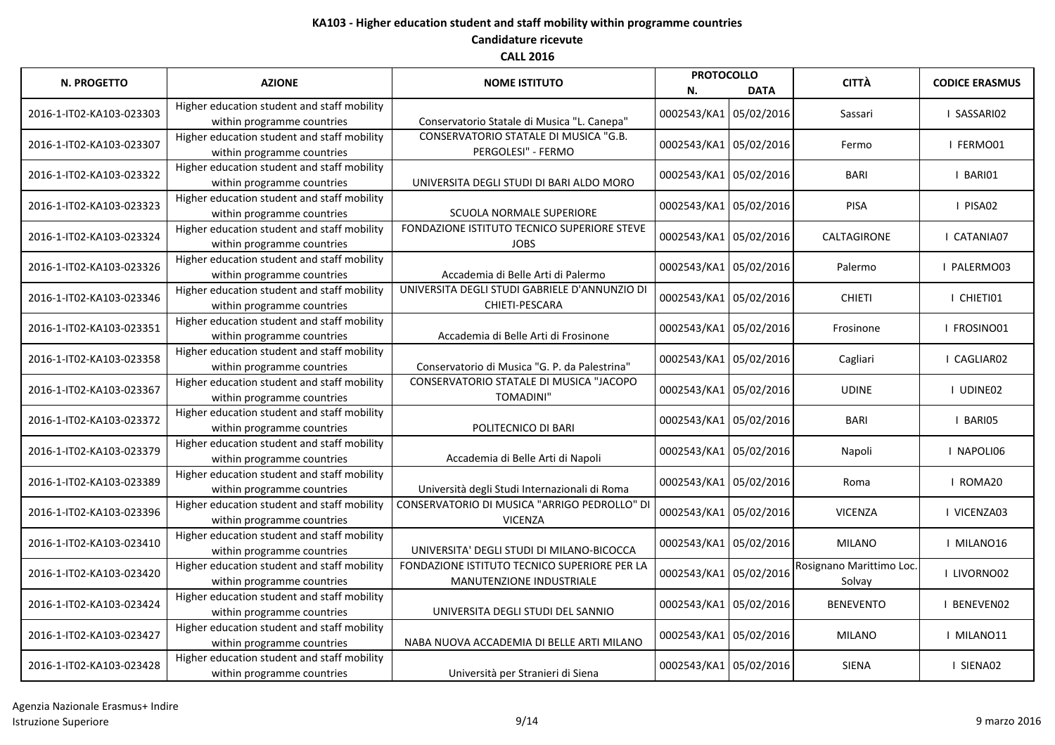| <b>N. PROGETTO</b>       | <b>AZIONE</b>                                                             | <b>NOME ISTITUTO</b>                                                     | <b>PROTOCOLLO</b><br>N. | <b>DATA</b> | <b>CITTÀ</b>                       | <b>CODICE ERASMUS</b> |
|--------------------------|---------------------------------------------------------------------------|--------------------------------------------------------------------------|-------------------------|-------------|------------------------------------|-----------------------|
| 2016-1-IT02-KA103-023303 | Higher education student and staff mobility<br>within programme countries | Conservatorio Statale di Musica "L. Canepa"                              | 0002543/KA1 05/02/2016  |             | Sassari                            | I SASSARIO2           |
| 2016-1-IT02-KA103-023307 | Higher education student and staff mobility<br>within programme countries | CONSERVATORIO STATALE DI MUSICA "G.B.<br>PERGOLESI" - FERMO              | 0002543/KA1 05/02/2016  |             | Fermo                              | I FERMO01             |
| 2016-1-IT02-KA103-023322 | Higher education student and staff mobility<br>within programme countries | UNIVERSITA DEGLI STUDI DI BARI ALDO MORO                                 | 0002543/KA1 05/02/2016  |             | <b>BARI</b>                        | I BARIO1              |
| 2016-1-IT02-KA103-023323 | Higher education student and staff mobility<br>within programme countries | <b>SCUOLA NORMALE SUPERIORE</b>                                          | 0002543/KA1 05/02/2016  |             | <b>PISA</b>                        | I PISA02              |
| 2016-1-IT02-KA103-023324 | Higher education student and staff mobility<br>within programme countries | FONDAZIONE ISTITUTO TECNICO SUPERIORE STEVE<br><b>JOBS</b>               | 0002543/KA1 05/02/2016  |             | CALTAGIRONE                        | I CATANIA07           |
| 2016-1-IT02-KA103-023326 | Higher education student and staff mobility<br>within programme countries | Accademia di Belle Arti di Palermo                                       | 0002543/KA1 05/02/2016  |             | Palermo                            | I PALERMO03           |
| 2016-1-IT02-KA103-023346 | Higher education student and staff mobility<br>within programme countries | UNIVERSITA DEGLI STUDI GABRIELE D'ANNUNZIO DI<br>CHIETI-PESCARA          | 0002543/KA1 05/02/2016  |             | <b>CHIETI</b>                      | I CHIETI01            |
| 2016-1-IT02-KA103-023351 | Higher education student and staff mobility<br>within programme countries | Accademia di Belle Arti di Frosinone                                     | 0002543/KA1 05/02/2016  |             | Frosinone                          | I FROSINO01           |
| 2016-1-IT02-KA103-023358 | Higher education student and staff mobility<br>within programme countries | Conservatorio di Musica "G. P. da Palestrina"                            | 0002543/KA1 05/02/2016  |             | Cagliari                           | CAGLIAR02             |
| 2016-1-IT02-KA103-023367 | Higher education student and staff mobility<br>within programme countries | CONSERVATORIO STATALE DI MUSICA "JACOPO<br><b>TOMADINI"</b>              | 0002543/KA1 05/02/2016  |             | <b>UDINE</b>                       | I UDINE02             |
| 2016-1-IT02-KA103-023372 | Higher education student and staff mobility<br>within programme countries | POLITECNICO DI BARI                                                      | 0002543/KA1 05/02/2016  |             | <b>BARI</b>                        | I BARIO5              |
| 2016-1-IT02-KA103-023379 | Higher education student and staff mobility<br>within programme countries | Accademia di Belle Arti di Napoli                                        | 0002543/KA1 05/02/2016  |             | Napoli                             | I NAPOLI06            |
| 2016-1-IT02-KA103-023389 | Higher education student and staff mobility<br>within programme countries | Università degli Studi Internazionali di Roma                            | 0002543/KA1 05/02/2016  |             | Roma                               | I ROMA20              |
| 2016-1-IT02-KA103-023396 | Higher education student and staff mobility<br>within programme countries | CONSERVATORIO DI MUSICA "ARRIGO PEDROLLO" DI<br><b>VICENZA</b>           | 0002543/KA1 05/02/2016  |             | <b>VICENZA</b>                     | I VICENZA03           |
| 2016-1-IT02-KA103-023410 | Higher education student and staff mobility<br>within programme countries | UNIVERSITA' DEGLI STUDI DI MILANO-BICOCCA                                | 0002543/KA1 05/02/2016  |             | <b>MILANO</b>                      | I MILANO16            |
| 2016-1-IT02-KA103-023420 | Higher education student and staff mobility<br>within programme countries | FONDAZIONE ISTITUTO TECNICO SUPERIORE PER LA<br>MANUTENZIONE INDUSTRIALE | 0002543/KA1 05/02/2016  |             | Rosignano Marittimo Loc.<br>Solvay | I LIVORNO02           |
| 2016-1-IT02-KA103-023424 | Higher education student and staff mobility<br>within programme countries | UNIVERSITA DEGLI STUDI DEL SANNIO                                        | 0002543/KA1 05/02/2016  |             | <b>BENEVENTO</b>                   | BENEVEN02             |
| 2016-1-IT02-KA103-023427 | Higher education student and staff mobility<br>within programme countries | NABA NUOVA ACCADEMIA DI BELLE ARTI MILANO                                | 0002543/KA1 05/02/2016  |             | <b>MILANO</b>                      | I MILANO11            |
| 2016-1-IT02-KA103-023428 | Higher education student and staff mobility<br>within programme countries | Università per Stranieri di Siena                                        | 0002543/KA1 05/02/2016  |             | SIENA                              | I SIENA02             |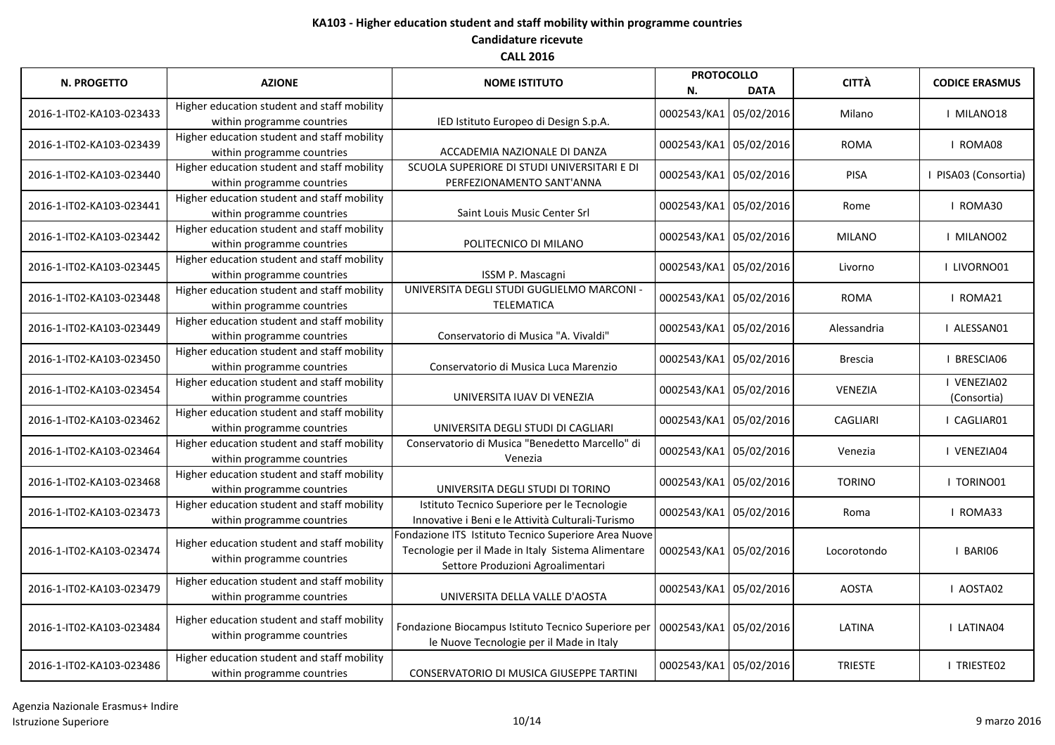| <b>N. PROGETTO</b>       | <b>AZIONE</b>                                                             | <b>NOME ISTITUTO</b>                                                                                                                            | <b>PROTOCOLLO</b><br>N. | <b>DATA</b> | <b>CITTÀ</b>    | <b>CODICE ERASMUS</b>      |
|--------------------------|---------------------------------------------------------------------------|-------------------------------------------------------------------------------------------------------------------------------------------------|-------------------------|-------------|-----------------|----------------------------|
| 2016-1-IT02-KA103-023433 | Higher education student and staff mobility<br>within programme countries | IED Istituto Europeo di Design S.p.A.                                                                                                           | 0002543/KA1 05/02/2016  |             | Milano          | I MILANO18                 |
| 2016-1-IT02-KA103-023439 | Higher education student and staff mobility<br>within programme countries | ACCADEMIA NAZIONALE DI DANZA                                                                                                                    | 0002543/KA1 05/02/2016  |             | <b>ROMA</b>     | I ROMA08                   |
| 2016-1-IT02-KA103-023440 | Higher education student and staff mobility<br>within programme countries | SCUOLA SUPERIORE DI STUDI UNIVERSITARI E DI<br>PERFEZIONAMENTO SANT'ANNA                                                                        | 0002543/KA1 05/02/2016  |             | <b>PISA</b>     | PISA03 (Consortia)         |
| 2016-1-IT02-KA103-023441 | Higher education student and staff mobility<br>within programme countries | Saint Louis Music Center Srl                                                                                                                    | 0002543/KA1 05/02/2016  |             | Rome            | I ROMA30                   |
| 2016-1-IT02-KA103-023442 | Higher education student and staff mobility<br>within programme countries | POLITECNICO DI MILANO                                                                                                                           | 0002543/KA1 05/02/2016  |             | MILANO          | I MILANO02                 |
| 2016-1-IT02-KA103-023445 | Higher education student and staff mobility<br>within programme countries | ISSM P. Mascagni                                                                                                                                | 0002543/KA1 05/02/2016  |             | Livorno         | I LIVORNO01                |
| 2016-1-IT02-KA103-023448 | Higher education student and staff mobility<br>within programme countries | UNIVERSITA DEGLI STUDI GUGLIELMO MARCONI -<br><b>TELEMATICA</b>                                                                                 | 0002543/KA1 05/02/2016  |             | <b>ROMA</b>     | I ROMA21                   |
| 2016-1-IT02-KA103-023449 | Higher education student and staff mobility<br>within programme countries | Conservatorio di Musica "A. Vivaldi"                                                                                                            | 0002543/KA1 05/02/2016  |             | Alessandria     | I ALESSAN01                |
| 2016-1-IT02-KA103-023450 | Higher education student and staff mobility<br>within programme countries | Conservatorio di Musica Luca Marenzio                                                                                                           | 0002543/KA1 05/02/2016  |             | <b>Brescia</b>  | I BRESCIA06                |
| 2016-1-IT02-KA103-023454 | Higher education student and staff mobility<br>within programme countries | UNIVERSITA IUAV DI VENEZIA                                                                                                                      | 0002543/KA1 05/02/2016  |             | <b>VENEZIA</b>  | I VENEZIA02<br>(Consortia) |
| 2016-1-IT02-KA103-023462 | Higher education student and staff mobility<br>within programme countries | UNIVERSITA DEGLI STUDI DI CAGLIARI                                                                                                              | 0002543/KA1 05/02/2016  |             | <b>CAGLIARI</b> | CAGLIAR01                  |
| 2016-1-IT02-KA103-023464 | Higher education student and staff mobility<br>within programme countries | Conservatorio di Musica "Benedetto Marcello" di<br>Venezia                                                                                      | 0002543/KA1 05/02/2016  |             | Venezia         | I VENEZIA04                |
| 2016-1-IT02-KA103-023468 | Higher education student and staff mobility<br>within programme countries | UNIVERSITA DEGLI STUDI DI TORINO                                                                                                                | 0002543/KA1 05/02/2016  |             | <b>TORINO</b>   | I TORINO01                 |
| 2016-1-IT02-KA103-023473 | Higher education student and staff mobility<br>within programme countries | Istituto Tecnico Superiore per le Tecnologie<br>Innovative i Beni e le Attività Culturali-Turismo                                               | 0002543/KA1 05/02/2016  |             | Roma            | I ROMA33                   |
| 2016-1-IT02-KA103-023474 | Higher education student and staff mobility<br>within programme countries | Fondazione ITS Istituto Tecnico Superiore Area Nuove<br>Tecnologie per il Made in Italy Sistema Alimentare<br>Settore Produzioni Agroalimentari | 0002543/KA1 05/02/2016  |             | Locorotondo     | I BARIO6                   |
| 2016-1-IT02-KA103-023479 | Higher education student and staff mobility<br>within programme countries | UNIVERSITA DELLA VALLE D'AOSTA                                                                                                                  | 0002543/KA1 05/02/2016  |             | <b>AOSTA</b>    | I AOSTA02                  |
| 2016-1-IT02-KA103-023484 | Higher education student and staff mobility<br>within programme countries | Fondazione Biocampus Istituto Tecnico Superiore per<br>le Nuove Tecnologie per il Made in Italy                                                 | 0002543/KA1 05/02/2016  |             | LATINA          | I LATINA04                 |
| 2016-1-IT02-KA103-023486 | Higher education student and staff mobility<br>within programme countries | CONSERVATORIO DI MUSICA GIUSEPPE TARTINI                                                                                                        | 0002543/KA1 05/02/2016  |             | <b>TRIESTE</b>  | I TRIESTE02                |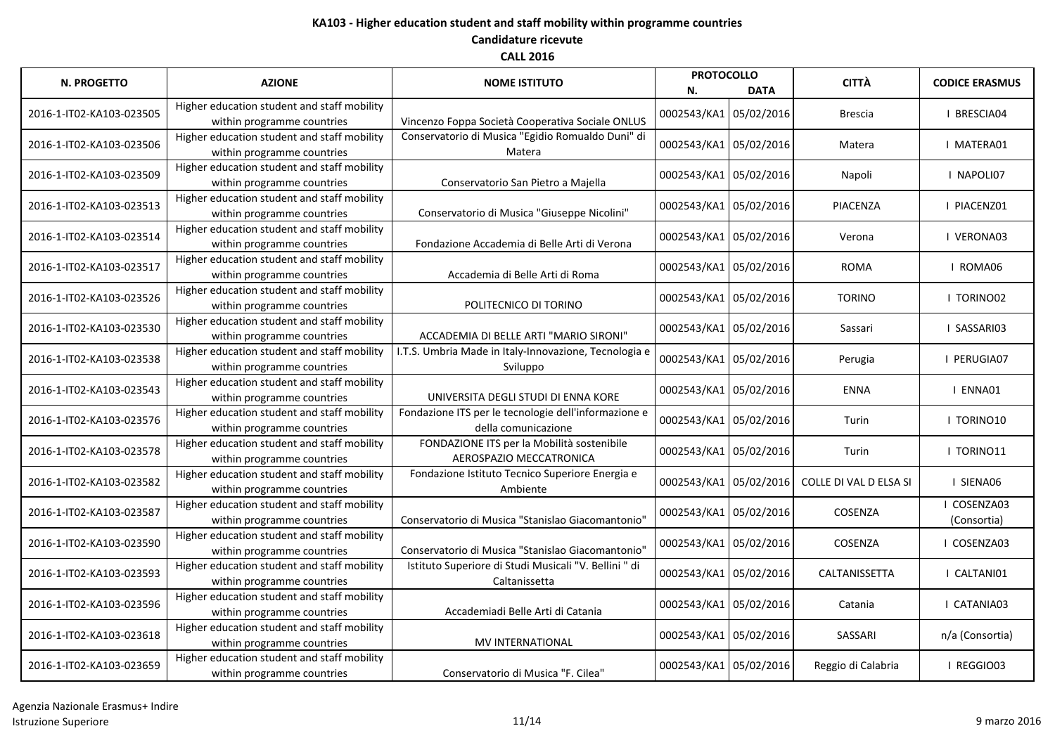| <b>N. PROGETTO</b>       | <b>AZIONE</b>                                                             | <b>NOME ISTITUTO</b>                                                        | <b>PROTOCOLLO</b><br>N. | <b>DATA</b> | <b>CITTÀ</b>           | <b>CODICE ERASMUS</b>    |
|--------------------------|---------------------------------------------------------------------------|-----------------------------------------------------------------------------|-------------------------|-------------|------------------------|--------------------------|
| 2016-1-IT02-KA103-023505 | Higher education student and staff mobility<br>within programme countries | Vincenzo Foppa Società Cooperativa Sociale ONLUS                            | 0002543/KA1 05/02/2016  |             | <b>Brescia</b>         | I BRESCIA04              |
| 2016-1-IT02-KA103-023506 | Higher education student and staff mobility<br>within programme countries | Conservatorio di Musica "Egidio Romualdo Duni" di<br>Matera                 | 0002543/KA1 05/02/2016  |             | Matera                 | I MATERA01               |
| 2016-1-IT02-KA103-023509 | Higher education student and staff mobility<br>within programme countries | Conservatorio San Pietro a Majella                                          | 0002543/KA1 05/02/2016  |             | Napoli                 | I NAPOLI07               |
| 2016-1-IT02-KA103-023513 | Higher education student and staff mobility<br>within programme countries | Conservatorio di Musica "Giuseppe Nicolini"                                 | 0002543/KA1 05/02/2016  |             | PIACENZA               | I PIACENZ01              |
| 2016-1-IT02-KA103-023514 | Higher education student and staff mobility<br>within programme countries | Fondazione Accademia di Belle Arti di Verona                                | 0002543/KA1 05/02/2016  |             | Verona                 | I VERONA03               |
| 2016-1-IT02-KA103-023517 | Higher education student and staff mobility<br>within programme countries | Accademia di Belle Arti di Roma                                             | 0002543/KA1 05/02/2016  |             | <b>ROMA</b>            | I ROMA06                 |
| 2016-1-IT02-KA103-023526 | Higher education student and staff mobility<br>within programme countries | POLITECNICO DI TORINO                                                       | 0002543/KA1 05/02/2016  |             | <b>TORINO</b>          | I TORINO02               |
| 2016-1-IT02-KA103-023530 | Higher education student and staff mobility<br>within programme countries | ACCADEMIA DI BELLE ARTI "MARIO SIRONI"                                      | 0002543/KA1 05/02/2016  |             | Sassari                | SASSARI03                |
| 2016-1-IT02-KA103-023538 | Higher education student and staff mobility<br>within programme countries | I.T.S. Umbria Made in Italy-Innovazione, Tecnologia e<br>Sviluppo           | 0002543/KA1 05/02/2016  |             | Perugia                | I PERUGIA07              |
| 2016-1-IT02-KA103-023543 | Higher education student and staff mobility<br>within programme countries | UNIVERSITA DEGLI STUDI DI ENNA KORE                                         | 0002543/KA1 05/02/2016  |             | <b>ENNA</b>            | I ENNA01                 |
| 2016-1-IT02-KA103-023576 | Higher education student and staff mobility<br>within programme countries | Fondazione ITS per le tecnologie dell'informazione e<br>della comunicazione | 0002543/KA1 05/02/2016  |             | Turin                  | I TORINO10               |
| 2016-1-IT02-KA103-023578 | Higher education student and staff mobility<br>within programme countries | FONDAZIONE ITS per la Mobilità sostenibile<br>AEROSPAZIO MECCATRONICA       | 0002543/KA1 05/02/2016  |             | Turin                  | I TORINO11               |
| 2016-1-IT02-KA103-023582 | Higher education student and staff mobility<br>within programme countries | Fondazione Istituto Tecnico Superiore Energia e<br>Ambiente                 | 0002543/KA1 05/02/2016  |             | COLLE DI VAL D ELSA SI | I SIENA06                |
| 2016-1-IT02-KA103-023587 | Higher education student and staff mobility<br>within programme countries | Conservatorio di Musica "Stanislao Giacomantonio"                           | 0002543/KA1 05/02/2016  |             | COSENZA                | COSENZA03<br>(Consortia) |
| 2016-1-IT02-KA103-023590 | Higher education student and staff mobility<br>within programme countries | Conservatorio di Musica "Stanislao Giacomantonio"                           | 0002543/KA1 05/02/2016  |             | COSENZA                | I COSENZA03              |
| 2016-1-IT02-KA103-023593 | Higher education student and staff mobility<br>within programme countries | Istituto Superiore di Studi Musicali "V. Bellini " di<br>Caltanissetta      | 0002543/KA1 05/02/2016  |             | CALTANISSETTA          | CALTANI01                |
| 2016-1-IT02-KA103-023596 | Higher education student and staff mobility<br>within programme countries | Accademiadi Belle Arti di Catania                                           | 0002543/KA1 05/02/2016  |             | Catania                | I CATANIA03              |
| 2016-1-IT02-KA103-023618 | Higher education student and staff mobility<br>within programme countries | MV INTERNATIONAL                                                            | 0002543/KA1 05/02/2016  |             | SASSARI                | n/a (Consortia)          |
| 2016-1-IT02-KA103-023659 | Higher education student and staff mobility<br>within programme countries | Conservatorio di Musica "F. Cilea"                                          | 0002543/KA1 05/02/2016  |             | Reggio di Calabria     | I REGGIO03               |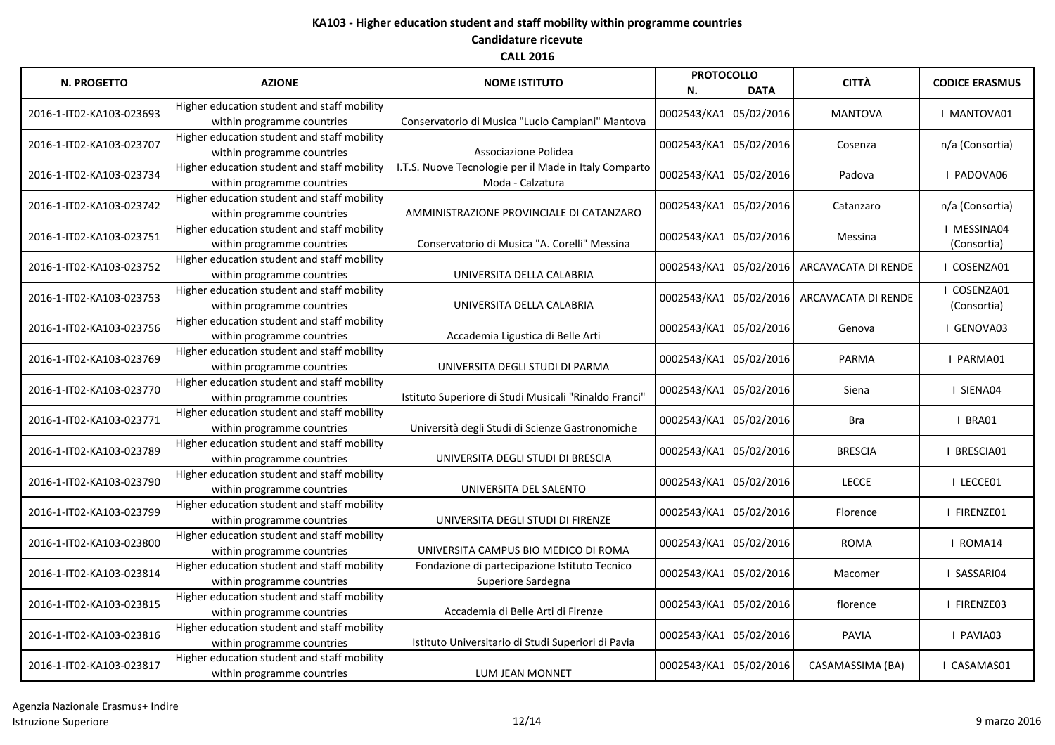| <b>N. PROGETTO</b>       | <b>AZIONE</b>                                                             | <b>NOME ISTITUTO</b>                                                      | <b>PROTOCOLLO</b><br>N. | <b>DATA</b> | <b>CITTÀ</b>        | <b>CODICE ERASMUS</b>      |
|--------------------------|---------------------------------------------------------------------------|---------------------------------------------------------------------------|-------------------------|-------------|---------------------|----------------------------|
| 2016-1-IT02-KA103-023693 | Higher education student and staff mobility<br>within programme countries | Conservatorio di Musica "Lucio Campiani" Mantova                          | 0002543/KA1 05/02/2016  |             | <b>MANTOVA</b>      | MANTOVA01                  |
| 2016-1-IT02-KA103-023707 | Higher education student and staff mobility<br>within programme countries | Associazione Polidea                                                      | 0002543/KA1 05/02/2016  |             | Cosenza             | n/a (Consortia)            |
| 2016-1-IT02-KA103-023734 | Higher education student and staff mobility<br>within programme countries | I.T.S. Nuove Tecnologie per il Made in Italy Comparto<br>Moda - Calzatura | 0002543/KA1 05/02/2016  |             | Padova              | I PADOVA06                 |
| 2016-1-IT02-KA103-023742 | Higher education student and staff mobility<br>within programme countries | AMMINISTRAZIONE PROVINCIALE DI CATANZARO                                  | 0002543/KA1 05/02/2016  |             | Catanzaro           | n/a (Consortia)            |
| 2016-1-IT02-KA103-023751 | Higher education student and staff mobility<br>within programme countries | Conservatorio di Musica "A. Corelli" Messina                              | 0002543/KA1 05/02/2016  |             | Messina             | I MESSINA04<br>(Consortia) |
| 2016-1-IT02-KA103-023752 | Higher education student and staff mobility<br>within programme countries | UNIVERSITA DELLA CALABRIA                                                 | 0002543/KA1 05/02/2016  |             | ARCAVACATA DI RENDE | COSENZA01                  |
| 2016-1-IT02-KA103-023753 | Higher education student and staff mobility<br>within programme countries | UNIVERSITA DELLA CALABRIA                                                 | 0002543/KA1 05/02/2016  |             | ARCAVACATA DI RENDE | COSENZA01<br>(Consortia)   |
| 2016-1-IT02-KA103-023756 | Higher education student and staff mobility<br>within programme countries | Accademia Ligustica di Belle Arti                                         | 0002543/KA1 05/02/2016  |             | Genova              | I GENOVA03                 |
| 2016-1-IT02-KA103-023769 | Higher education student and staff mobility<br>within programme countries | UNIVERSITA DEGLI STUDI DI PARMA                                           | 0002543/KA1 05/02/2016  |             | <b>PARMA</b>        | I PARMA01                  |
| 2016-1-IT02-KA103-023770 | Higher education student and staff mobility<br>within programme countries | Istituto Superiore di Studi Musicali "Rinaldo Franci"                     | 0002543/KA1 05/02/2016  |             | Siena               | I SIENA04                  |
| 2016-1-IT02-KA103-023771 | Higher education student and staff mobility<br>within programme countries | Università degli Studi di Scienze Gastronomiche                           | 0002543/KA1 05/02/2016  |             | <b>Bra</b>          | BRA01                      |
| 2016-1-IT02-KA103-023789 | Higher education student and staff mobility<br>within programme countries | UNIVERSITA DEGLI STUDI DI BRESCIA                                         | 0002543/KA1 05/02/2016  |             | <b>BRESCIA</b>      | BRESCIA01                  |
| 2016-1-IT02-KA103-023790 | Higher education student and staff mobility<br>within programme countries | UNIVERSITA DEL SALENTO                                                    | 0002543/KA1 05/02/2016  |             | <b>LECCE</b>        | I LECCE01                  |
| 2016-1-IT02-KA103-023799 | Higher education student and staff mobility<br>within programme countries | UNIVERSITA DEGLI STUDI DI FIRENZE                                         | 0002543/KA1 05/02/2016  |             | Florence            | I FIRENZE01                |
| 2016-1-IT02-KA103-023800 | Higher education student and staff mobility<br>within programme countries | UNIVERSITA CAMPUS BIO MEDICO DI ROMA                                      | 0002543/KA1 05/02/2016  |             | <b>ROMA</b>         | I ROMA14                   |
| 2016-1-IT02-KA103-023814 | Higher education student and staff mobility<br>within programme countries | Fondazione di partecipazione Istituto Tecnico<br>Superiore Sardegna       | 0002543/KA1 05/02/2016  |             | Macomer             | I SASSARI04                |
| 2016-1-IT02-KA103-023815 | Higher education student and staff mobility<br>within programme countries | Accademia di Belle Arti di Firenze                                        | 0002543/KA1 05/02/2016  |             | florence            | I FIRENZE03                |
| 2016-1-IT02-KA103-023816 | Higher education student and staff mobility<br>within programme countries | Istituto Universitario di Studi Superiori di Pavia                        | 0002543/KA1 05/02/2016  |             | PAVIA               | I PAVIA03                  |
| 2016-1-IT02-KA103-023817 | Higher education student and staff mobility<br>within programme countries | LUM JEAN MONNET                                                           | 0002543/KA1 05/02/2016  |             | CASAMASSIMA (BA)    | CASAMAS01                  |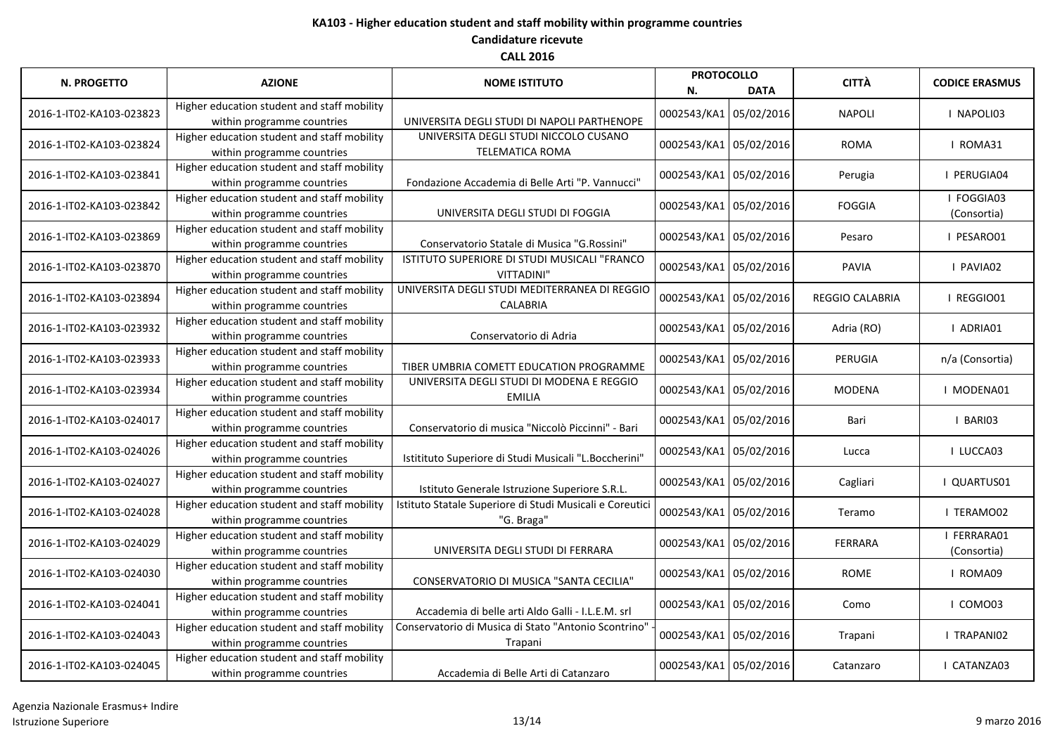| N. PROGETTO              | <b>AZIONE</b>                               | <b>NOME ISTITUTO</b>                                     | <b>PROTOCOLLO</b><br><b>DATA</b><br>N. |  | <b>CITTÀ</b>           | <b>CODICE ERASMUS</b> |
|--------------------------|---------------------------------------------|----------------------------------------------------------|----------------------------------------|--|------------------------|-----------------------|
|                          | Higher education student and staff mobility |                                                          |                                        |  |                        |                       |
| 2016-1-IT02-KA103-023823 | within programme countries                  | UNIVERSITA DEGLI STUDI DI NAPOLI PARTHENOPE              | 0002543/KA1 05/02/2016                 |  | <b>NAPOLI</b>          | I NAPOLI03            |
| 2016-1-IT02-KA103-023824 | Higher education student and staff mobility | UNIVERSITA DEGLI STUDI NICCOLO CUSANO                    | 0002543/KA1 05/02/2016                 |  | <b>ROMA</b>            | I ROMA31              |
|                          | within programme countries                  | <b>TELEMATICA ROMA</b>                                   |                                        |  |                        |                       |
| 2016-1-IT02-KA103-023841 | Higher education student and staff mobility |                                                          | 0002543/KA1 05/02/2016                 |  | Perugia                | PERUGIA04             |
|                          | within programme countries                  | Fondazione Accademia di Belle Arti "P. Vannucci"         |                                        |  |                        |                       |
| 2016-1-IT02-KA103-023842 | Higher education student and staff mobility |                                                          | 0002543/KA1 05/02/2016                 |  | <b>FOGGIA</b>          | I FOGGIA03            |
|                          | within programme countries                  | UNIVERSITA DEGLI STUDI DI FOGGIA                         |                                        |  |                        | (Consortia)           |
| 2016-1-IT02-KA103-023869 | Higher education student and staff mobility |                                                          | 0002543/KA1 05/02/2016                 |  | Pesaro                 | I PESARO01            |
|                          | within programme countries                  | Conservatorio Statale di Musica "G.Rossini"              |                                        |  |                        |                       |
| 2016-1-IT02-KA103-023870 | Higher education student and staff mobility | ISTITUTO SUPERIORE DI STUDI MUSICALI "FRANCO             | 0002543/KA1 05/02/2016                 |  | <b>PAVIA</b>           | I PAVIA02             |
|                          | within programme countries                  | <b>VITTADINI"</b>                                        |                                        |  |                        |                       |
| 2016-1-IT02-KA103-023894 | Higher education student and staff mobility | UNIVERSITA DEGLI STUDI MEDITERRANEA DI REGGIO            | 0002543/KA1 05/02/2016                 |  | <b>REGGIO CALABRIA</b> | I REGGIO01            |
|                          | within programme countries                  | <b>CALABRIA</b>                                          |                                        |  |                        |                       |
| 2016-1-IT02-KA103-023932 | Higher education student and staff mobility |                                                          | 0002543/KA1 05/02/2016                 |  | Adria (RO)             | I ADRIA01             |
|                          | within programme countries                  | Conservatorio di Adria                                   |                                        |  |                        |                       |
| 2016-1-IT02-KA103-023933 | Higher education student and staff mobility |                                                          | 0002543/KA1 05/02/2016                 |  | PERUGIA                | n/a (Consortia)       |
|                          | within programme countries                  | TIBER UMBRIA COMETT EDUCATION PROGRAMME                  |                                        |  |                        |                       |
| 2016-1-IT02-KA103-023934 | Higher education student and staff mobility | UNIVERSITA DEGLI STUDI DI MODENA E REGGIO                | 0002543/KA1 05/02/2016                 |  | <b>MODENA</b>          | I MODENA01            |
|                          | within programme countries                  | <b>EMILIA</b>                                            |                                        |  |                        |                       |
| 2016-1-IT02-KA103-024017 | Higher education student and staff mobility |                                                          | 0002543/KA1 05/02/2016                 |  | Bari                   | <b>BARIO3</b>         |
|                          | within programme countries                  | Conservatorio di musica "Niccolò Piccinni" - Bari        |                                        |  |                        |                       |
| 2016-1-IT02-KA103-024026 | Higher education student and staff mobility |                                                          | 0002543/KA1 05/02/2016                 |  | Lucca                  | I LUCCA03             |
|                          | within programme countries                  | Istitituto Superiore di Studi Musicali "L.Boccherini'    |                                        |  |                        |                       |
| 2016-1-IT02-KA103-024027 | Higher education student and staff mobility |                                                          | 0002543/KA1 05/02/2016                 |  | Cagliari               | I QUARTUS01           |
|                          | within programme countries                  | Istituto Generale Istruzione Superiore S.R.L.            |                                        |  |                        |                       |
| 2016-1-IT02-KA103-024028 | Higher education student and staff mobility | Istituto Statale Superiore di Studi Musicali e Coreutici | 0002543/KA1 05/02/2016                 |  | Teramo                 | I TERAMO02            |
|                          | within programme countries                  | "G. Braga"                                               |                                        |  |                        |                       |
| 2016-1-IT02-KA103-024029 | Higher education student and staff mobility |                                                          | 0002543/KA1 05/02/2016                 |  | FERRARA                | FERRARA01             |
|                          | within programme countries                  | UNIVERSITA DEGLI STUDI DI FERRARA                        |                                        |  |                        | (Consortia)           |
| 2016-1-IT02-KA103-024030 | Higher education student and staff mobility |                                                          |                                        |  |                        |                       |
|                          | within programme countries                  | CONSERVATORIO DI MUSICA "SANTA CECILIA"                  | 0002543/KA1 05/02/2016                 |  | <b>ROME</b>            | I ROMA09              |
| 2016-1-IT02-KA103-024041 | Higher education student and staff mobility |                                                          | 0002543/KA1 05/02/2016                 |  | Como                   | I COMO03              |
|                          | within programme countries                  | Accademia di belle arti Aldo Galli - I.L.E.M. srl        |                                        |  |                        |                       |
| 2016-1-IT02-KA103-024043 | Higher education student and staff mobility | Conservatorio di Musica di Stato "Antonio Scontrino"     | 0002543/KA1 05/02/2016                 |  | Trapani                | I TRAPANI02           |
|                          | within programme countries                  | Trapani                                                  |                                        |  |                        |                       |
| 2016-1-IT02-KA103-024045 | Higher education student and staff mobility |                                                          | 0002543/KA1 05/02/2016                 |  | Catanzaro              | I CATANZA03           |
|                          | within programme countries                  | Accademia di Belle Arti di Catanzaro                     |                                        |  |                        |                       |